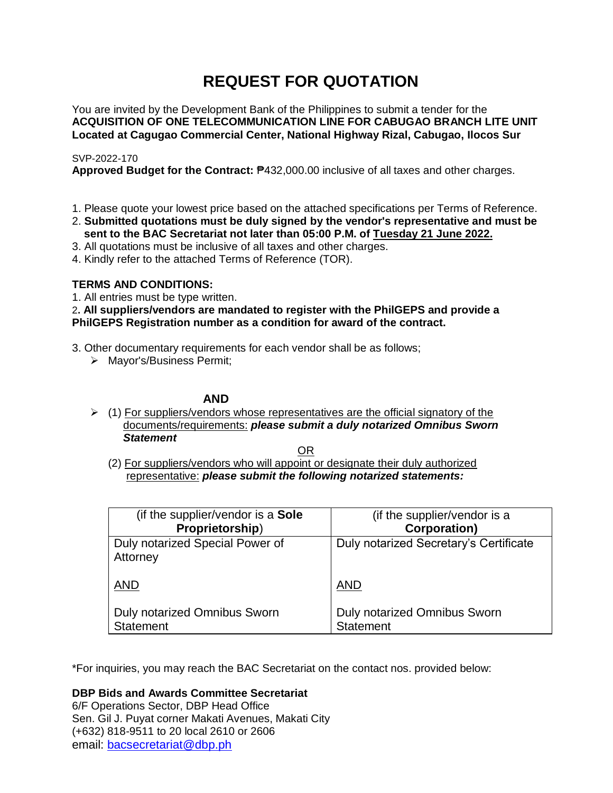# **REQUEST FOR QUOTATION**

You are invited by the Development Bank of the Philippines to submit a tender for the **ACQUISITION OF ONE TELECOMMUNICATION LINE FOR CABUGAO BRANCH LITE UNIT Located at Cagugao Commercial Center, National Highway Rizal, Cabugao, Ilocos Sur**

## SVP-2022-170

**Approved Budget for the Contract:** ₱432,000.00 inclusive of all taxes and other charges.

- 1. Please quote your lowest price based on the attached specifications per Terms of Reference.
- 2. **Submitted quotations must be duly signed by the vendor's representative and must be sent to the BAC Secretariat not later than 05:00 P.M. of Tuesday 21 June 2022.**
- 3. All quotations must be inclusive of all taxes and other charges.
- 4. Kindly refer to the attached Terms of Reference (TOR).

# **TERMS AND CONDITIONS:**

1. All entries must be type written.

2**. All suppliers/vendors are mandated to register with the PhilGEPS and provide a PhilGEPS Registration number as a condition for award of the contract.**

- 3. Other documentary requirements for each vendor shall be as follows;
	- > Mayor's/Business Permit;

## **AND**

 $\geq$  (1) For suppliers/vendors whose representatives are the official signatory of the documents/requirements: *please submit a duly notarized Omnibus Sworn Statement*

<u>OR Starting and the Starting OR Starting</u>

(2) For suppliers/vendors who will appoint or designate their duly authorized representative: *please submit the following notarized statements:*

| (if the supplier/vendor is a Sole                       | (if the supplier/vendor is a                            |
|---------------------------------------------------------|---------------------------------------------------------|
| Proprietorship)                                         | <b>Corporation)</b>                                     |
| Duly notarized Special Power of<br>Attorney             | Duly notarized Secretary's Certificate                  |
| <b>AND</b>                                              | <b>AND</b>                                              |
| <b>Duly notarized Omnibus Sworn</b><br><b>Statement</b> | <b>Duly notarized Omnibus Sworn</b><br><b>Statement</b> |

\*For inquiries, you may reach the BAC Secretariat on the contact nos. provided below:

**DBP Bids and Awards Committee Secretariat** 

6/F Operations Sector, DBP Head Office Sen. Gil J. Puyat corner Makati Avenues, Makati City (+632) 818-9511 to 20 local 2610 or 2606 email: [bacsecretariat@dbp.ph](mailto:bacsecretariat@dbp.ph)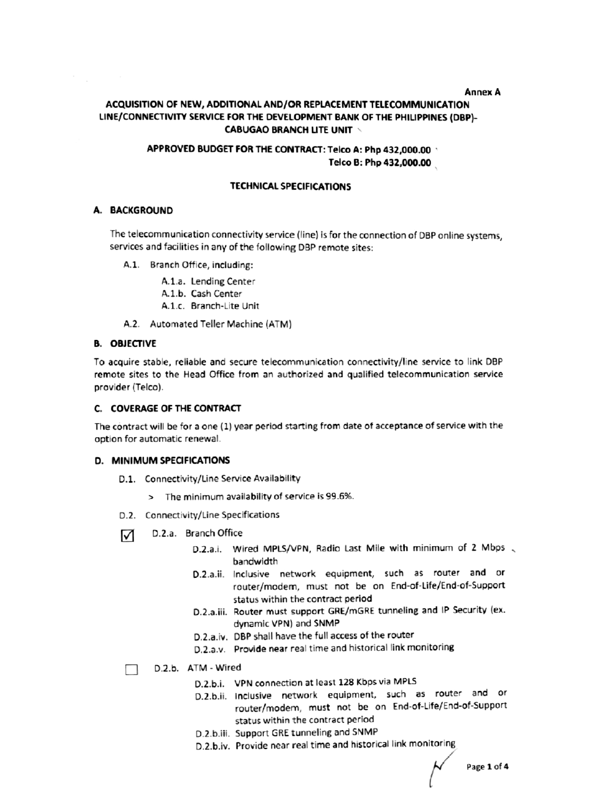#### **Annex A**

# ACQUISITION OF NEW, ADDITIONAL AND/OR REPLACEMENT TELECOMMUNICATION LINE/CONNECTIVITY SERVICE FOR THE DEVELOPMENT BANK OF THE PHILIPPINES (DBP)-**CABUGAO BRANCH LITE UNIT \**

## APPROVED BUDGET FOR THE CONTRACT: Telco A: Php 432,000.00 Telco B: Php 432.000.00

#### **TECHNICAL SPECIFICATIONS**

#### A. BACKGROUND

The telecommunication connectivity service (line) is for the connection of DBP online systems, services and facilities in any of the following DBP remote sites:

- A.1. Branch Office, including:
	- A.1.a. Lending Center
	- A.1.b. Cash Center
	- A.1.c. Branch-Lite Unit
- A.2. Automated Teller Machine (ATM)

#### **B. OBJECTIVE**

To acquire stable, reliable and secure telecommunication connectivity/line service to link DBP remote sites to the Head Office from an authorized and qualified telecommunication service provider (Telco).

#### C. COVERAGE OF THE CONTRACT

The contract will be for a one (1) year period starting from date of acceptance of service with the option for automatic renewal.

#### D. MINIMUM SPECIFICATIONS

- D.1. Connectivity/Line Service Availability
	- > The minimum availability of service is 99.6%.
- D.2. Connectivity/Line Specifications
- D.2.a. Branch Office ☑
	- D.2.a.i. Wired MPLS/VPN, Radio Last Mile with minimum of 2 Mbps bandwidth
	- D.2.a.ii. Inclusive network equipment, such as router and or router/modem, must not be on End-of-Life/End-of-Support status within the contract period
	- D.2.a.iii. Router must support GRE/mGRE tunneling and IP Security (ex. dynamic VPN) and SNMP
	- D.2.a.iv. DBP shall have the full access of the router
	- D.2.a.v. Provide near real time and historical link monitoring

# D.2.b. ATM - Wired

- D.2.b.i. VPN connection at least 128 Kbps via MPLS
- D.2.b.ii. Inclusive network equipment, such as router and or router/modem, must not be on End-of-Life/End-of-Support status within the contract period
- D.2.b.iii. Support GRE tunneling and SNMP
- D.2.b.iv. Provide near real time and historical link monitoring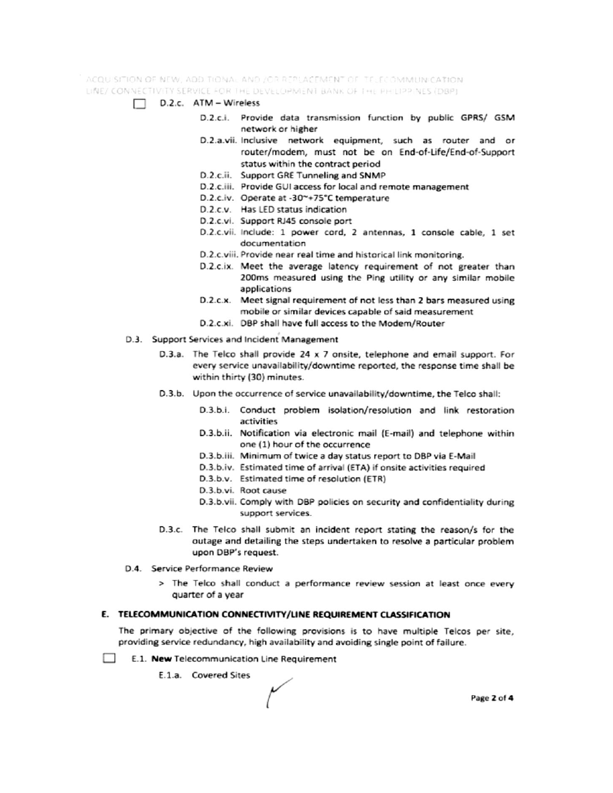ACQUISITION OF NEW, ADDITIONAL AND JOR REPLACEMENT OF TELECOMMUNICATION. LINE/ CONNECTIVITY SERVICE FOR THE DEVELOPMENT BANK OF THE PHILIPPINES (DBP)

- $\Box$  D.2.c. ATM Wireless
	- D.2.c.i. Provide data transmission function by public GPRS/ GSM network or higher
	- D.2.a.vii. Inclusive network equipment, such as router and or router/modem, must not be on End-of-Life/End-of-Support status within the contract period
	- D.2.c.ii. Support GRE Tunneling and SNMP
	- D.2.c.iii. Provide GUI access for local and remote management
	- D.2.c.iv. Operate at -30~+75°C temperature
	- D.2.c.v. Has LED status indication
	- D.2.c.vi. Support RJ45 console port
	- D.2.c.vii. Include: 1 power cord, 2 antennas, 1 console cable, 1 set documentation
	- D.2.c.viii. Provide near real time and historical link monitoring.
	- D.2.c.ix. Meet the average latency requirement of not greater than 200ms measured using the Ping utility or any similar mobile applications
	- D.2.c.x. Meet signal requirement of not less than 2 bars measured using mobile or similar devices capable of said measurement
	- D.2.c.xi. DBP shall have full access to the Modem/Router
- D.3. Support Services and Incident Management
	- D.3.a. The Telco shall provide 24 x 7 onsite, telephone and email support. For every service unavailability/downtime reported, the response time shall be within thirty (30) minutes.
	- D.3.b. Upon the occurrence of service unavailability/downtime, the Telco shall:
		- D.3.b.i. Conduct problem isolation/resolution and link restoration activities
		- D.3.b.ii. Notification via electronic mail (E-mail) and telephone within one (1) hour of the occurrence
		- D.3.b.iii. Minimum of twice a day status report to DBP via E-Mail
		- D.3.b.iv. Estimated time of arrival (ETA) if onsite activities required
		- D.3.b.v. Estimated time of resolution (ETR)
		- D.3.b.vi. Root cause
		- D.3.b.vii. Comply with DBP policies on security and confidentiality during support services.
	- D.3.c. The Telco shall submit an incident report stating the reason/s for the outage and detailing the steps undertaken to resolve a particular problem upon DBP's request.
- D.4. Service Performance Review
	- > The Telco shall conduct a performance review session at least once every quarter of a year

#### E. TELECOMMUNICATION CONNECTIVITY/LINE REQUIREMENT CLASSIFICATION

The primary objective of the following provisions is to have multiple Telcos per site, providing service redundancy, high availability and avoiding single point of failure.

- **College** E.1. New Telecommunication Line Requirement
	- E.1.a. Covered Sites

Page 2 of 4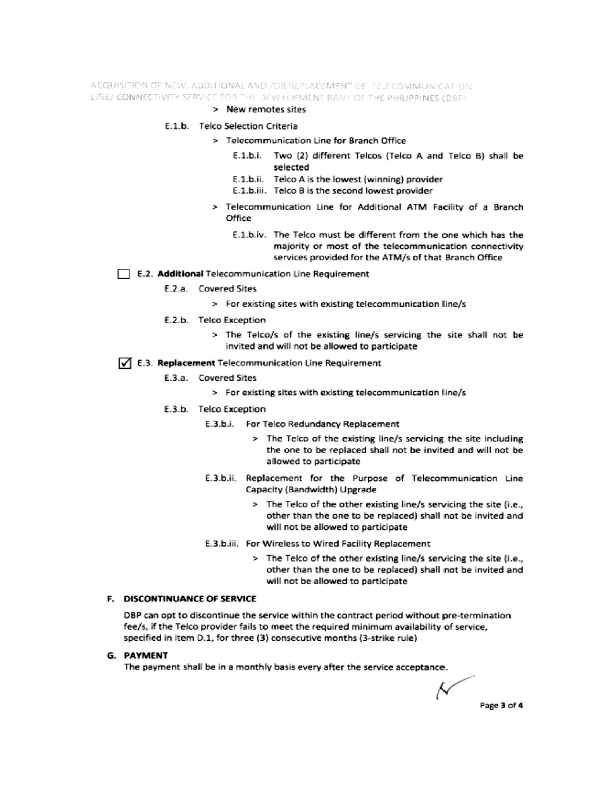ACQUISITION OF NEW, ADDITIONAL AND /OR REPLACEMENT OF TELECOMMUNICATION LINE/ CONNECTIVITY SERVICE FOR THE DEVELOPMENT BANK OF THE PHILIPPINES (DBP)

#### > New remotes sites

#### E.1.b. Telco Selection Criteria

- > Telecommunication Line for Branch Office
	- E.1.b.i. Two (2) different Telcos (Telco A and Telco B) shall be selected
	- E.1.b.ii. Telco A is the lowest (winning) provider
	- E.1.b.iii. Telco B is the second lowest provider
- > Telecommunication Line for Additional ATM Facility of a Branch Office
	- E.1.b.iv. The Telco must be different from the one which has the majority or most of the telecommunication connectivity services provided for the ATM/s of that Branch Office

#### E.2. Additional Telecommunication Line Requirement

- E.2.a. Covered Sites
	- > For existing sites with existing telecommunication line/s
- E.2.b. Telco Exception
	- > The Telco/s of the existing line/s servicing the site shall not be invited and will not be allowed to participate

#### √ E.3. Replacement Telecommunication Line Requirement

- E.3.a. Covered Sites
	- > For existing sites with existing telecommunication line/s
- E.3.b. Telco Exception
	- E.3.b.i. For Telco Redundancy Replacement
		- > The Telco of the existing line/s servicing the site including the one to be replaced shall not be invited and will not be allowed to participate
	- E.3.b.ii. Replacement for the Purpose of Telecommunication Line Capacity (Bandwidth) Upgrade
		- > The Telco of the other existing line/s servicing the site (i.e., other than the one to be replaced) shall not be invited and will not be allowed to participate
	- E.3.b.iii. For Wireless to Wired Facility Replacement
		- > The Telco of the other existing line/s servicing the site (i.e., other than the one to be replaced) shall not be invited and will not be allowed to participate

## F. DISCONTINUANCE OF SERVICE

DBP can opt to discontinue the service within the contract period without pre-termination fee/s, if the Telco provider fails to meet the required minimum availability of service, specified in item D.1, for three (3) consecutive months (3-strike rule)

#### **G. PAYMENT**

The payment shall be in a monthly basis every after the service acceptance.

Ν Page 3 of 4